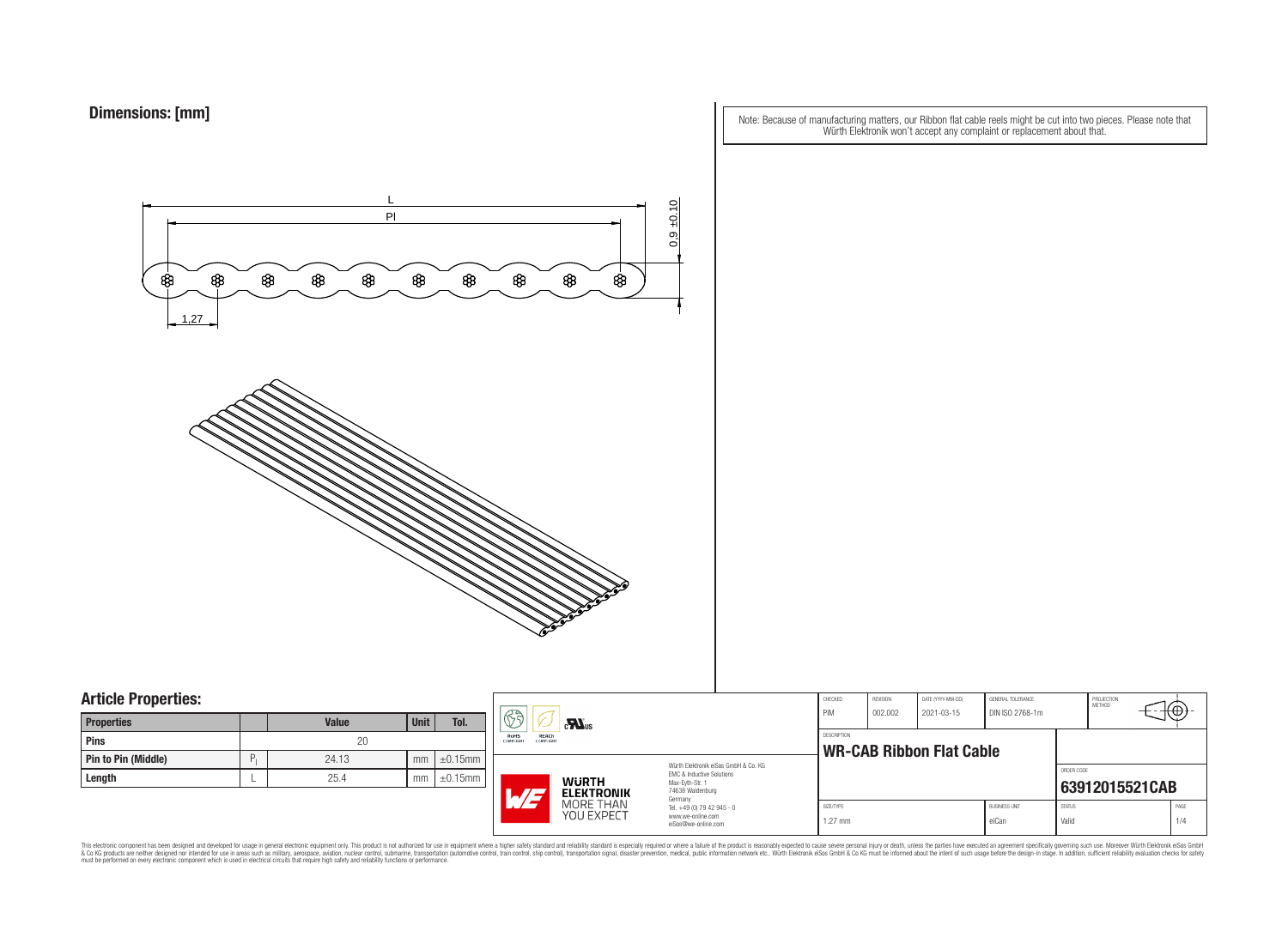Note: Because of manufacturing matters, our Ribbon flat cable reels might be cut into two pieces. Please note that Würth Elektronik won't accept any complaint or replacement about that.



### **Article Properties:**

| <b>Properties</b>          |   | <b>Value</b> | <b>Unit</b> | Tol.          |
|----------------------------|---|--------------|-------------|---------------|
| Pins                       |   | 20           |             |               |
| <b>Pin to Pin (Middle)</b> | P | 24.13        | mm          | $\pm 0.15$ mm |
| Length                     |   | 25.4         | mm          | $\pm 0.15$ mm |

|    | ß<br>$\mathbf{M}$ us<br><b>RoHS</b><br><b>REACh</b><br>COMPLIANT<br><b>COMPLIANT</b> |                                                                                                                     | CHECKED<br>PiM                                 | REVISION<br>002.002 | DATE (YYYY-MM-DD)<br>2021-03-15 | GENERAL TOLERANCE<br>DIN ISO 2768-1m |                        | PROJECTION<br><b>METHOD</b> | ΉĐ.         |
|----|--------------------------------------------------------------------------------------|---------------------------------------------------------------------------------------------------------------------|------------------------------------------------|---------------------|---------------------------------|--------------------------------------|------------------------|-----------------------------|-------------|
| mm |                                                                                      |                                                                                                                     | DESCRIPTION<br><b>WR-CAB Ribbon Flat Cable</b> |                     |                                 |                                      |                        |                             |             |
| mm | <b>WURTH</b><br><b>ELEKTRONIK</b><br>ATJ                                             | Würth Elektronik eiSos GmbH & Co. KG<br>FMC & Inductive Solutions<br>Max-Eyth-Str. 1<br>74638 Waldenburg<br>Germany |                                                |                     |                                 |                                      | ORDER CODE             | 63912015521CAB              |             |
|    | MORE THAN<br>YOU EXPECT                                                              | Tel. +49 (0) 79 42 945 - 0<br>www.we-online.com<br>eiSos@we-online.com                                              | SIZE/TYPE<br>$1.27$ mm                         |                     |                                 | <b>BUSINESS UNIT</b><br>eiCan        | <b>STATUS</b><br>Valid |                             | PAGE<br>1/4 |

This electronic component has been designed and developed for usage in general electronic equipment only. This product is not authorized for subserved requipment where a higher selection equipment where a higher selection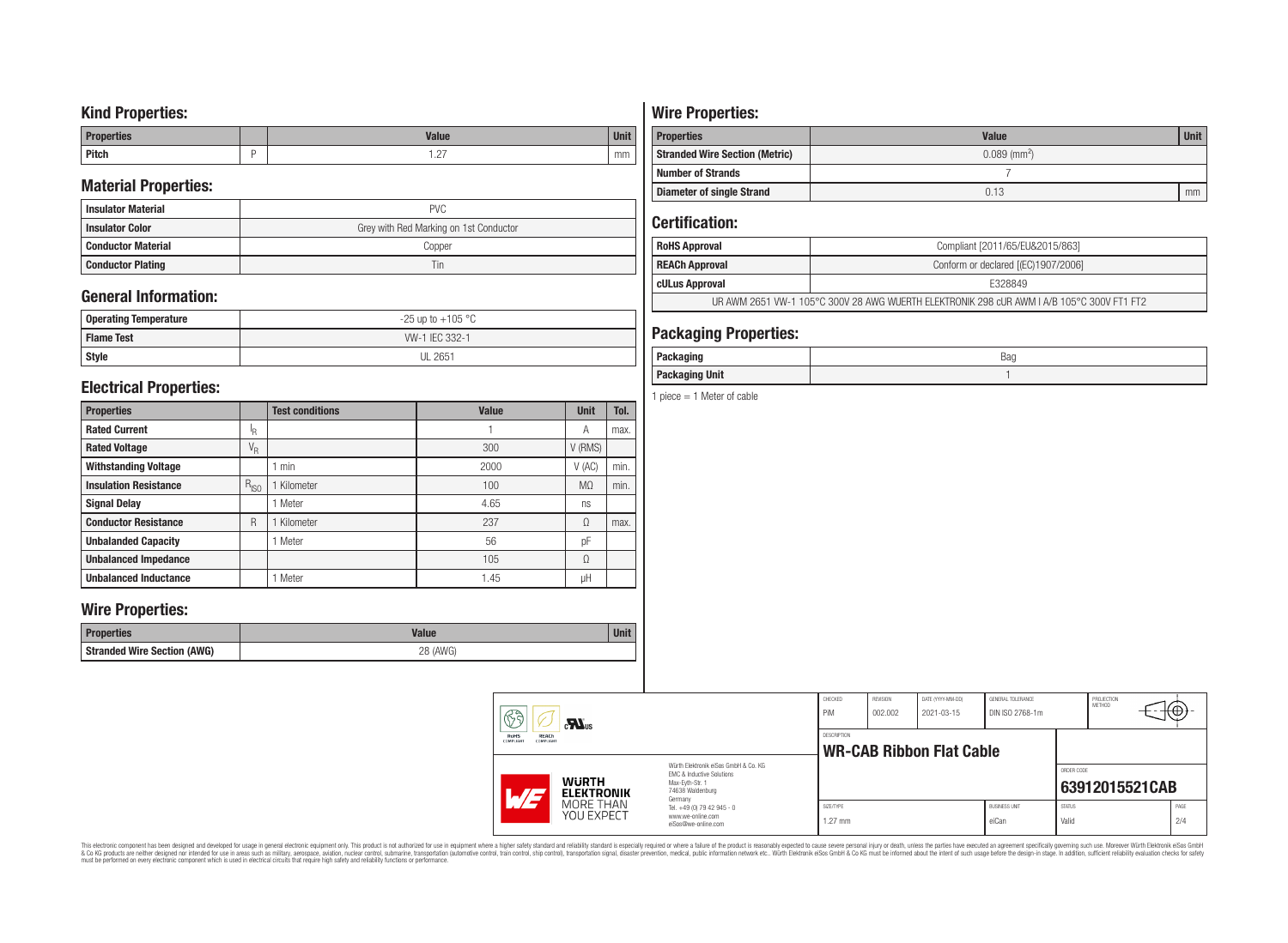## **Kind Properties:**

| <b>Properties</b> | <b>Value</b>                     | $H = 14$<br>vm |
|-------------------|----------------------------------|----------------|
| <b>Pitch</b>      | $\sim$<br>$\cdot$ $\sim$ $\cdot$ | mm             |

## **Material Properties:**

| <b>Insulator Material</b> | <b>PVC</b>                             |
|---------------------------|----------------------------------------|
| <b>Insulator Color</b>    | Grey with Red Marking on 1st Conductor |
| <b>Conductor Material</b> | Copper                                 |
| <b>Conductor Plating</b>  | Tin                                    |

## **General Information:**

| <b>Operating Temperature</b> | $-25$ up to $+105$ °C |
|------------------------------|-----------------------|
| <b>I Flame Test</b>          | WV-1 IEC 332-1        |
| Style                        | <b>UL 2651</b>        |

## **Electrical Properties:**

| <b>Properties</b>            |           | <b>Test conditions</b> | <b>Value</b> | <b>Unit</b>    | Tol. |
|------------------------------|-----------|------------------------|--------------|----------------|------|
| <b>Rated Current</b>         | ΙR        |                        |              | А              | max. |
| <b>Rated Voltage</b>         | $V_R$     |                        | 300          | V (RMS)        |      |
| <b>Withstanding Voltage</b>  |           | min                    | 2000         | $V$ (AC)       | min. |
| <b>Insulation Resistance</b> | $R_{ISO}$ | Kilometer              | 100          | M <sub>2</sub> | min. |
| <b>Signal Delay</b>          |           | Meter                  | 4.65         | ns             |      |
| <b>Conductor Resistance</b>  | R         | Kilometer              | 237          | Ω              | max. |
| <b>Unbalanded Capacity</b>   |           | 1 Meter                | 56           | pF             |      |
| <b>Unbalanced Impedance</b>  |           |                        | 105          | Ω              |      |
| <b>Unbalanced Inductance</b> |           | Meter                  | 1.45         | μH             |      |

## **Wire Properties:**

| <b>Properties</b>                  | Value       | <b>Unit</b> |
|------------------------------------|-------------|-------------|
| <b>Stranded Wire Section (AWG)</b> | (AWG)<br>חר |             |

# **Wire Properties:**

| <b>Properties</b>                     | <b>Value</b>               | <b>Unit</b> |  |  |  |
|---------------------------------------|----------------------------|-------------|--|--|--|
| <b>Stranded Wire Section (Metric)</b> | $0.089$ (mm <sup>2</sup> ) |             |  |  |  |
| <b>Number of Strands</b>              |                            |             |  |  |  |
| Diameter of single Strand             | 0.13                       | mm          |  |  |  |

## **Certification:**

| <b>RoHS Approval</b>                                                                      | Compliant [2011/65/EU&2015/863]     |  |
|-------------------------------------------------------------------------------------------|-------------------------------------|--|
| <b>REACh Approval</b>                                                                     | Conform or declared [(EC)1907/2006] |  |
| cULus Approval                                                                            | E328849                             |  |
| UR AWM 2651 VW-1 105°C 300V 28 AWG WUERTH ELEKTRONIK 298 cUR AWM I A/B 105°C 300V FT1 FT2 |                                     |  |

## **Packaging Properties:**

| - - - - -<br><br>ישיוע<br>.<br>-- | Bag |
|-----------------------------------|-----|
| <b>Unit</b><br>Packaging          |     |

1 piece  $= 1$  Meter of cable

|  | 63<br>$c$ <b>N</b> <sub>us</sub><br>RoHS<br>REACh<br>COMPLIANT<br><b>COMPLIANT</b> |                                                                                                                     | CHECKED<br>PiM                                                         | REVISION<br>002.002    | DATE (YYYY-MM-DD)<br>2021-03-15 | GENERAL TOLERANCE<br>DIN ISO 2768-1m |                               | PROJECTION<br><b>METHOD</b> | ćΦ |
|--|------------------------------------------------------------------------------------|---------------------------------------------------------------------------------------------------------------------|------------------------------------------------------------------------|------------------------|---------------------------------|--------------------------------------|-------------------------------|-----------------------------|----|
|  |                                                                                    |                                                                                                                     | DESCRIPTION<br><b>WR-CAB Ribbon Flat Cable</b>                         |                        |                                 |                                      |                               |                             |    |
|  | <b>WURTH</b><br>$\overline{M}$<br><b>ELEKTRONIK</b><br>MORE THAN<br>YOU EXPECT     | Würth Flektronik eiSos GmbH & Co. KG<br>EMC & Inductive Solutions<br>Max-Evth-Str. 1<br>74638 Waldenburg<br>Germany |                                                                        |                        |                                 |                                      | ORDER CODE                    | 63912015521CAB              |    |
|  |                                                                                    |                                                                                                                     | Tel. +49 (0) 79 42 945 - 0<br>www.we-online.com<br>eiSos@we-online.com | SIZE/TYPE<br>$1.27$ mm |                                 |                                      | <b>BUSINESS UNIT</b><br>eiCan | <b>STATUS</b><br>Valid      |    |

This electronic component has been designed and developed for usage in general electronic equipment only. This product is not authorized for subserved requipment where a higher selection equipment where a higher selection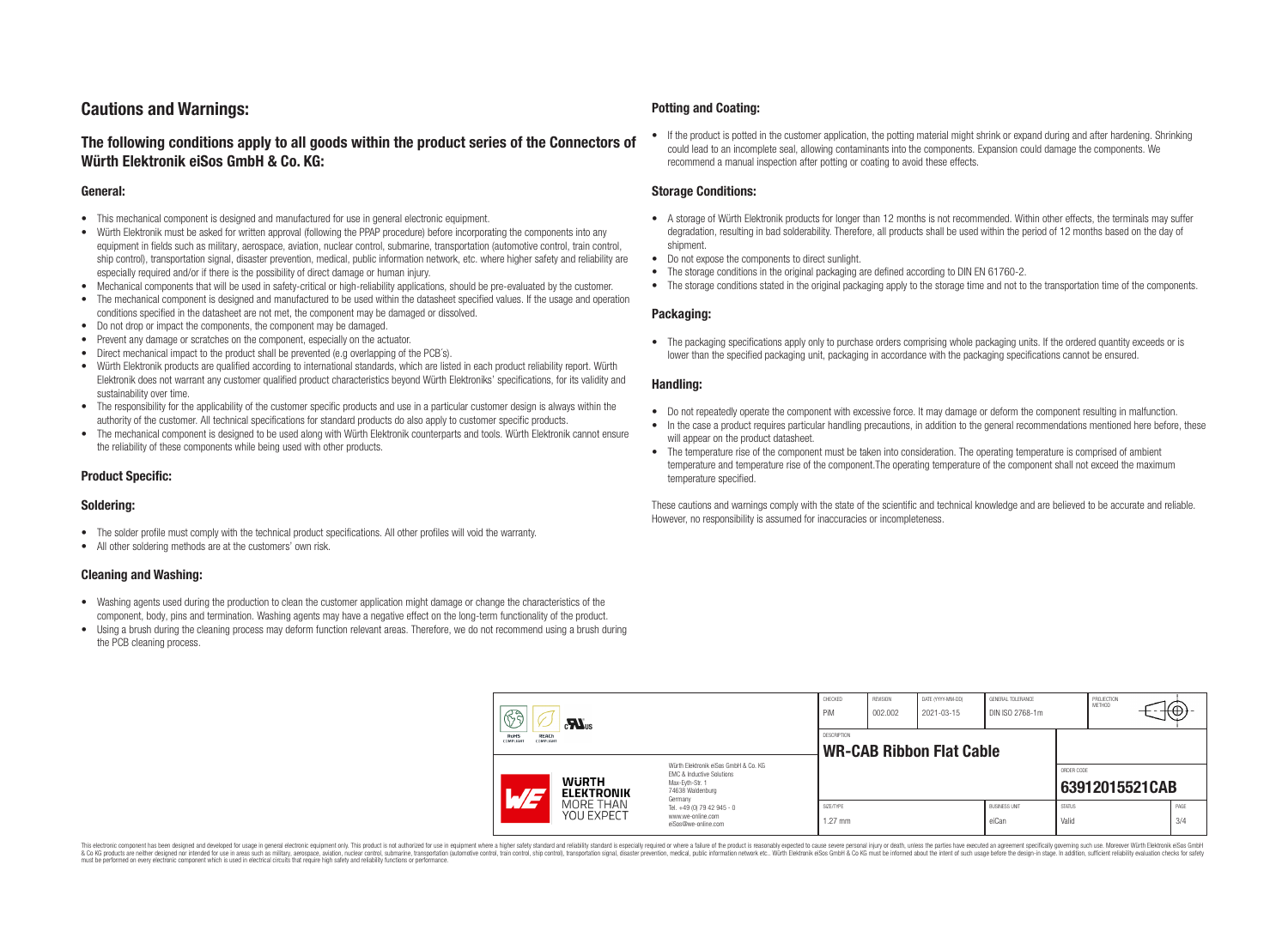## **Cautions and Warnings:**

### **The following conditions apply to all goods within the product series of the Connectors of Würth Elektronik eiSos GmbH & Co. KG:**

#### **General:**

- This mechanical component is designed and manufactured for use in general electronic equipment.
- Würth Elektronik must be asked for written approval (following the PPAP procedure) before incorporating the components into any equipment in fields such as military, aerospace, aviation, nuclear control, submarine, transportation (automotive control, train control, ship control), transportation signal, disaster prevention, medical, public information network, etc. where higher safety and reliability are especially required and/or if there is the possibility of direct damage or human injury.
- Mechanical components that will be used in safety-critical or high-reliability applications, should be pre-evaluated by the customer.
- The mechanical component is designed and manufactured to be used within the datasheet specified values. If the usage and operation conditions specified in the datasheet are not met, the component may be damaged or dissolved.
- Do not drop or impact the components, the component may be damaged.
- Prevent any damage or scratches on the component, especially on the actuator.
- Direct mechanical impact to the product shall be prevented (e.g overlapping of the PCB's).
- Würth Elektronik products are qualified according to international standards, which are listed in each product reliability report. Würth Elektronik does not warrant any customer qualified product characteristics beyond Würth Elektroniks' specifications, for its validity and sustainability over time.
- The responsibility for the applicability of the customer specific products and use in a particular customer design is always within the authority of the customer. All technical specifications for standard products do also apply to customer specific products.
- The mechanical component is designed to be used along with Würth Elektronik counterparts and tools. Würth Elektronik cannot ensure the reliability of these components while being used with other products.

#### **Product Specific:**

#### **Soldering:**

- The solder profile must comply with the technical product specifications. All other profiles will void the warranty.
- All other soldering methods are at the customers' own risk.

#### **Cleaning and Washing:**

- Washing agents used during the production to clean the customer application might damage or change the characteristics of the component, body, pins and termination. Washing agents may have a negative effect on the long-term functionality of the product.
- Using a brush during the cleaning process may deform function relevant areas. Therefore, we do not recommend using a brush during the PCB cleaning process.

#### **Potting and Coating:**

• If the product is potted in the customer application, the potting material might shrink or expand during and after hardening. Shrinking could lead to an incomplete seal, allowing contaminants into the components. Expansion could damage the components. We recommend a manual inspection after potting or coating to avoid these effects.

#### **Storage Conditions:**

- A storage of Würth Elektronik products for longer than 12 months is not recommended. Within other effects, the terminals may suffer degradation, resulting in bad solderability. Therefore, all products shall be used within the period of 12 months based on the day of shipment.
- Do not expose the components to direct sunlight.
- The storage conditions in the original packaging are defined according to DIN EN 61760-2.
- The storage conditions stated in the original packaging apply to the storage time and not to the transportation time of the components.

#### **Packaging:**

• The packaging specifications apply only to purchase orders comprising whole packaging units. If the ordered quantity exceeds or is lower than the specified packaging unit, packaging in accordance with the packaging specifications cannot be ensured.

#### **Handling:**

- Do not repeatedly operate the component with excessive force. It may damage or deform the component resulting in malfunction.
- In the case a product requires particular handling precautions, in addition to the general recommendations mentioned here before, these will appear on the product datasheet
- The temperature rise of the component must be taken into consideration. The operating temperature is comprised of ambient temperature and temperature rise of the component.The operating temperature of the component shall not exceed the maximum temperature specified.

These cautions and warnings comply with the state of the scientific and technical knowledge and are believed to be accurate and reliable. However, no responsibility is assumed for inaccuracies or incompleteness.

| 63<br>$\mathbf{M}_{\text{us}}$<br><b>RoHS</b><br><b>REACh</b><br><b>COMPLIANT</b><br>COMPLIANT |                                                                                                                                                     | CHECKED<br>PiM                                        | <b>REVISION</b><br>002.002 | DATE (YYYY-MM-DD)<br>2021-03-15 | GENERAL TOLERANCE<br>DIN ISO 2768-1m |                        | PROJECTION<br><b>METHOD</b> |                | €⊕∶         |  |
|------------------------------------------------------------------------------------------------|-----------------------------------------------------------------------------------------------------------------------------------------------------|-------------------------------------------------------|----------------------------|---------------------------------|--------------------------------------|------------------------|-----------------------------|----------------|-------------|--|
|                                                                                                |                                                                                                                                                     | <b>DESCRIPTION</b><br><b>WR-CAB Ribbon Flat Cable</b> |                            |                                 |                                      |                        |                             |                |             |  |
|                                                                                                | Würth Flektronik eiSos GmbH & Co. KG<br>EMC & Inductive Solutions<br><b>WURTH</b><br>Max-Evth-Str. 1<br>74638 Waldenburg<br>AT<br><b>ELEKTRONIK</b> |                                                       |                            |                                 |                                      |                        | ORDER CODE                  | 63912015521CAB |             |  |
| MORE THAN<br><b>YOU EXPECT</b>                                                                 | Germany<br>Tel. +49 (0) 79 42 945 - 0<br>www.we-online.com<br>eiSos@we-online.com                                                                   | SIZE/TYPE<br>$1.27$ mm                                |                            |                                 | <b>BUSINESS UNIT</b><br>eiCan        | <b>STATUS</b><br>Valid |                             |                | PAGE<br>3/4 |  |

This electronic component has been designed and developed for usage in general electronic equipment only. This product is not authorized for use in equipment where a higher safety standard and reliability standard si espec & Ook product a label and the membed of the seasuch as marked and as which such a membed and the such assume that income in the seasuch and the simulation and the such assume that include to the such a membed and the such